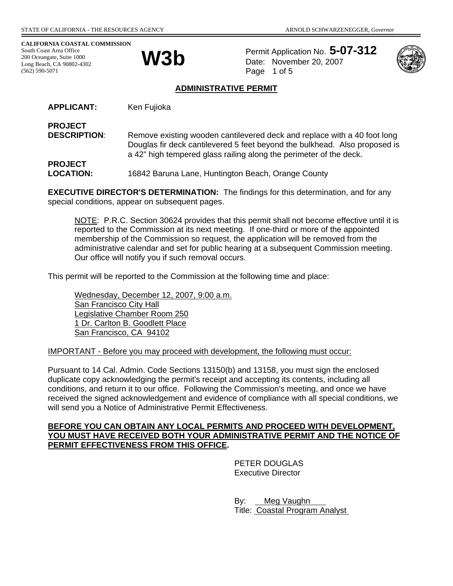**CALIFORNIA COASTAL COMMISSION**  South Coast Area Office 200 Oceangate, Suite 1000 Long Beach, CA 90802-4302 (562) 590-5071

**PROJECT** 



Permit Application No. **5-07-312 W3b** Permit Application No. 3-4 Page 1 of 5



#### **ADMINISTRATIVE PERMIT**

APPLICANT: Ken Fujioka

**PROJECT DESCRIPTION:** Remove existing wooden cantilevered deck and replace with a 40 foot long Douglas fir deck cantilevered 5 feet beyond the bulkhead. Also proposed is a 42" high tempered glass railing along the perimeter of the deck.

**LOCATION:** 16842 Baruna Lane, Huntington Beach, Orange County

**EXECUTIVE DIRECTOR'S DETERMINATION:** The findings for this determination, and for any special conditions, appear on subsequent pages.

NOTE: P.R.C. Section 30624 provides that this permit shall not become effective until it is reported to the Commission at its next meeting. If one-third or more of the appointed membership of the Commission so request, the application will be removed from the administrative calendar and set for public hearing at a subsequent Commission meeting. Our office will notify you if such removal occurs.

This permit will be reported to the Commission at the following time and place:

Wednesday, December 12, 2007, 9:00 a.m. San Francisco City Hall Legislative Chamber Room 250 1 Dr. Carlton B. Goodlett Place San Francisco, CA 94102

IMPORTANT - Before you may proceed with development, the following must occur:

Pursuant to 14 Cal. Admin. Code Sections 13150(b) and 13158, you must sign the enclosed duplicate copy acknowledging the permit's receipt and accepting its contents, including all conditions, and return it to our office. Following the Commission's meeting, and once we have received the signed acknowledgement and evidence of compliance with all special conditions, we will send you a Notice of Administrative Permit Effectiveness.

#### **BEFORE YOU CAN OBTAIN ANY LOCAL PERMITS AND PROCEED WITH DEVELOPMENT, YOU MUST HAVE RECEIVED BOTH YOUR ADMINISTRATIVE PERMIT AND THE NOTICE OF PERMIT EFFECTIVENESS FROM THIS OFFICE.**

PETER DOUGLAS Executive Director

 By: Meg Vaughn Title: Coastal Program Analyst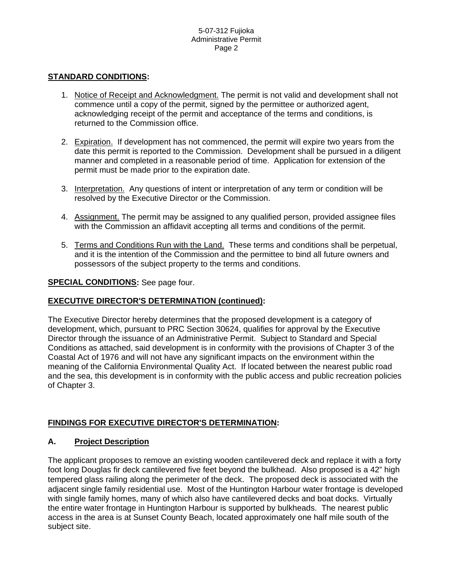### **STANDARD CONDITIONS:**

- 1. Notice of Receipt and Acknowledgment. The permit is not valid and development shall not commence until a copy of the permit, signed by the permittee or authorized agent, acknowledging receipt of the permit and acceptance of the terms and conditions, is returned to the Commission office.
- 2. Expiration. If development has not commenced, the permit will expire two years from the date this permit is reported to the Commission. Development shall be pursued in a diligent manner and completed in a reasonable period of time. Application for extension of the permit must be made prior to the expiration date.
- 3. Interpretation. Any questions of intent or interpretation of any term or condition will be resolved by the Executive Director or the Commission.
- 4. Assignment. The permit may be assigned to any qualified person, provided assignee files with the Commission an affidavit accepting all terms and conditions of the permit.
- 5. Terms and Conditions Run with the Land. These terms and conditions shall be perpetual, and it is the intention of the Commission and the permittee to bind all future owners and possessors of the subject property to the terms and conditions.

### **SPECIAL CONDITIONS:** See page four.

### **EXECUTIVE DIRECTOR'S DETERMINATION (continued):**

The Executive Director hereby determines that the proposed development is a category of development, which, pursuant to PRC Section 30624, qualifies for approval by the Executive Director through the issuance of an Administrative Permit. Subject to Standard and Special Conditions as attached, said development is in conformity with the provisions of Chapter 3 of the Coastal Act of 1976 and will not have any significant impacts on the environment within the meaning of the California Environmental Quality Act. If located between the nearest public road and the sea, this development is in conformity with the public access and public recreation policies of Chapter 3.

### **FINDINGS FOR EXECUTIVE DIRECTOR'S DETERMINATION:**

### **A. Project Description**

The applicant proposes to remove an existing wooden cantilevered deck and replace it with a forty foot long Douglas fir deck cantilevered five feet beyond the bulkhead. Also proposed is a 42" high tempered glass railing along the perimeter of the deck. The proposed deck is associated with the adjacent single family residential use. Most of the Huntington Harbour water frontage is developed with single family homes, many of which also have cantilevered decks and boat docks. Virtually the entire water frontage in Huntington Harbour is supported by bulkheads. The nearest public access in the area is at Sunset County Beach, located approximately one half mile south of the subject site.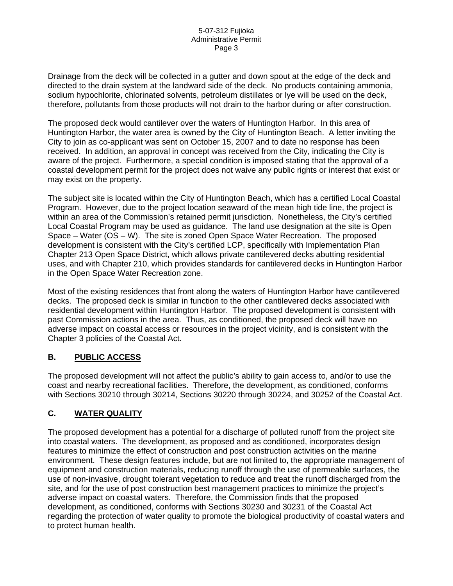Drainage from the deck will be collected in a gutter and down spout at the edge of the deck and directed to the drain system at the landward side of the deck. No products containing ammonia, sodium hypochlorite, chlorinated solvents, petroleum distillates or lye will be used on the deck, therefore, pollutants from those products will not drain to the harbor during or after construction.

The proposed deck would cantilever over the waters of Huntington Harbor. In this area of Huntington Harbor, the water area is owned by the City of Huntington Beach. A letter inviting the City to join as co-applicant was sent on October 15, 2007 and to date no response has been received. In addition, an approval in concept was received from the City, indicating the City is aware of the project. Furthermore, a special condition is imposed stating that the approval of a coastal development permit for the project does not waive any public rights or interest that exist or may exist on the property.

The subject site is located within the City of Huntington Beach, which has a certified Local Coastal Program. However, due to the project location seaward of the mean high tide line, the project is within an area of the Commission's retained permit jurisdiction. Nonetheless, the City's certified Local Coastal Program may be used as guidance. The land use designation at the site is Open Space – Water (OS – W). The site is zoned Open Space Water Recreation. The proposed development is consistent with the City's certified LCP, specifically with Implementation Plan Chapter 213 Open Space District, which allows private cantilevered decks abutting residential uses, and with Chapter 210, which provides standards for cantilevered decks in Huntington Harbor in the Open Space Water Recreation zone.

Most of the existing residences that front along the waters of Huntington Harbor have cantilevered decks. The proposed deck is similar in function to the other cantilevered decks associated with residential development within Huntington Harbor. The proposed development is consistent with past Commission actions in the area. Thus, as conditioned, the proposed deck will have no adverse impact on coastal access or resources in the project vicinity, and is consistent with the Chapter 3 policies of the Coastal Act.

## **B. PUBLIC ACCESS**

The proposed development will not affect the public's ability to gain access to, and/or to use the coast and nearby recreational facilities. Therefore, the development, as conditioned, conforms with Sections 30210 through 30214, Sections 30220 through 30224, and 30252 of the Coastal Act.

## **C. WATER QUALITY**

The proposed development has a potential for a discharge of polluted runoff from the project site into coastal waters. The development, as proposed and as conditioned, incorporates design features to minimize the effect of construction and post construction activities on the marine environment. These design features include, but are not limited to, the appropriate management of equipment and construction materials, reducing runoff through the use of permeable surfaces, the use of non-invasive, drought tolerant vegetation to reduce and treat the runoff discharged from the site, and for the use of post construction best management practices to minimize the project's adverse impact on coastal waters. Therefore, the Commission finds that the proposed development, as conditioned, conforms with Sections 30230 and 30231 of the Coastal Act regarding the protection of water quality to promote the biological productivity of coastal waters and to protect human health.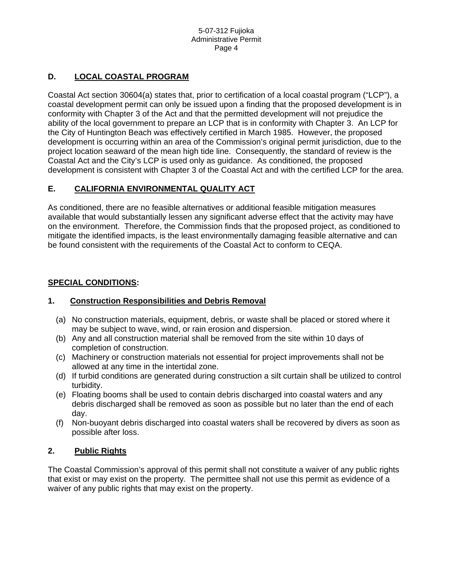## **D. LOCAL COASTAL PROGRAM**

Coastal Act section 30604(a) states that, prior to certification of a local coastal program ("LCP"), a coastal development permit can only be issued upon a finding that the proposed development is in conformity with Chapter 3 of the Act and that the permitted development will not prejudice the ability of the local government to prepare an LCP that is in conformity with Chapter 3. An LCP for the City of Huntington Beach was effectively certified in March 1985. However, the proposed development is occurring within an area of the Commission's original permit jurisdiction, due to the project location seaward of the mean high tide line. Consequently, the standard of review is the Coastal Act and the City's LCP is used only as guidance. As conditioned, the proposed development is consistent with Chapter 3 of the Coastal Act and with the certified LCP for the area.

## **E. CALIFORNIA ENVIRONMENTAL QUALITY ACT**

As conditioned, there are no feasible alternatives or additional feasible mitigation measures available that would substantially lessen any significant adverse effect that the activity may have on the environment. Therefore, the Commission finds that the proposed project, as conditioned to mitigate the identified impacts, is the least environmentally damaging feasible alternative and can be found consistent with the requirements of the Coastal Act to conform to CEQA.

## **SPECIAL CONDITIONS:**

### **1. Construction Responsibilities and Debris Removal**

- (a) No construction materials, equipment, debris, or waste shall be placed or stored where it may be subject to wave, wind, or rain erosion and dispersion.
- (b) Any and all construction material shall be removed from the site within 10 days of completion of construction.
- (c) Machinery or construction materials not essential for project improvements shall not be allowed at any time in the intertidal zone.
- (d) If turbid conditions are generated during construction a silt curtain shall be utilized to control turbidity.
- (e) Floating booms shall be used to contain debris discharged into coastal waters and any debris discharged shall be removed as soon as possible but no later than the end of each day.
- (f) Non-buoyant debris discharged into coastal waters shall be recovered by divers as soon as possible after loss.

## **2. Public Rights**

The Coastal Commission's approval of this permit shall not constitute a waiver of any public rights that exist or may exist on the property. The permittee shall not use this permit as evidence of a waiver of any public rights that may exist on the property.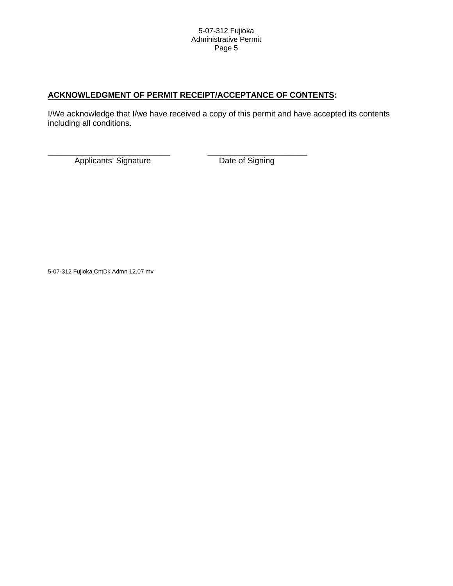# **ACKNOWLEDGMENT OF PERMIT RECEIPT/ACCEPTANCE OF CONTENTS:**

I/We acknowledge that I/we have received a copy of this permit and have accepted its contents including all conditions.

\_\_\_\_\_\_\_\_\_\_\_\_\_\_\_\_\_\_\_\_\_\_\_\_\_\_\_ \_\_\_\_\_\_\_\_\_\_\_\_\_\_\_\_\_\_\_\_\_\_ Applicants' Signature Date of Signing

5-07-312 Fujioka CntDk Admn 12.07 mv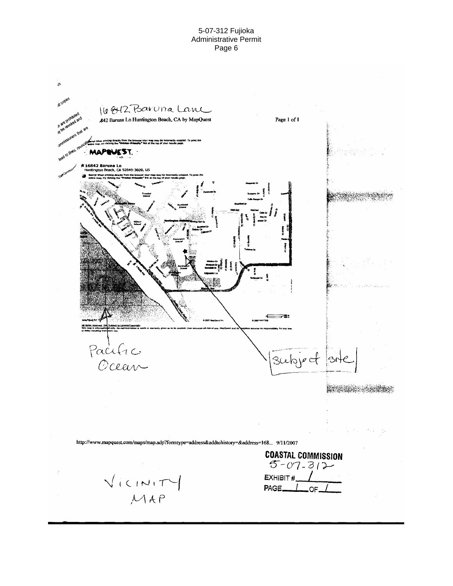#### 5-07-312 Fujioka Administrative Permit Page 6

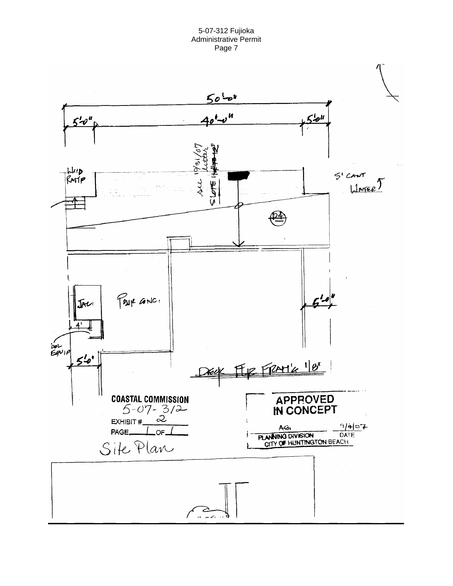